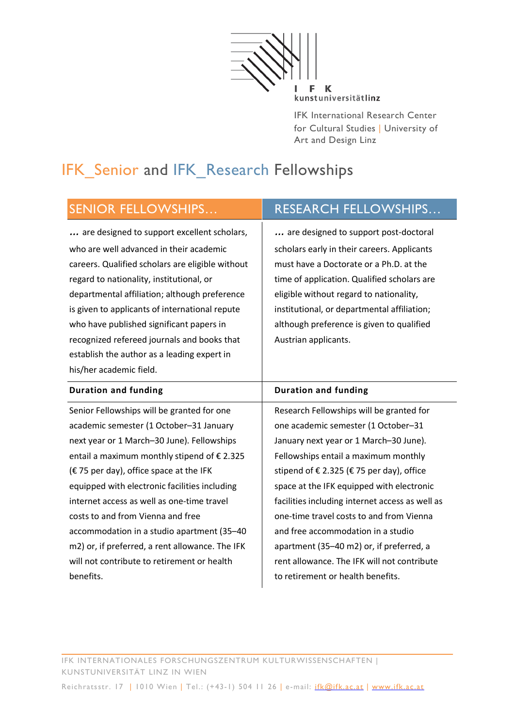kunstuniversitätlinz

IFK International Research Center for Cultural Studies ∣ University of Art and Design Linz

# IFK\_Senior and IFK\_Research Fellowships

| <b>SENIOR FELLOWSHIPS</b>                        | <b>RESEARCH FELLOWSHIPS</b>                 |
|--------------------------------------------------|---------------------------------------------|
| are designed to support excellent scholars,      | are designed to support post-doctoral       |
| who are well advanced in their academic          | scholars early in their careers. Applicants |
| careers. Qualified scholars are eligible without | must have a Doctorate or a Ph.D. at the     |
| regard to nationality, institutional, or         | time of application. Qualified scholars are |
| departmental affiliation; although preference    | eligible without regard to nationality,     |
| is given to applicants of international repute   | institutional, or departmental affiliation; |
| who have published significant papers in         | although preference is given to qualified   |
| recognized refereed journals and books that      | Austrian applicants.                        |
| establish the author as a leading expert in      |                                             |
| his/her academic field.                          |                                             |
| <b>Duration and funding</b>                      | <b>Duration and funding</b>                 |

Senior Fellowships will be granted for one academic semester (1 October–31 January next year or 1 March–30 June). Fellowships entail a maximum monthly stipend of  $\epsilon$  2.325  $(E 75$  per day), office space at the IFK equipped with electronic facilities including internet access as well as one-time travel costs to and from Vienna and free accommodation in a studio apartment (35–40 m2) or, if preferred, a rent allowance. The IFK will not contribute to retirement or health benefits.

Research Fellowships will be granted for one academic semester (1 October–31 January next year or 1 March–30 June). Fellowships entail a maximum monthly stipend of  $\epsilon$  2.325 ( $\epsilon$  75 per day), office space at the IFK equipped with electronic facilities including internet access as well as one-time travel costs to and from Vienna and free accommodation in a studio apartment (35–40 m2) or, if preferred, a rent allowance. The IFK will not contribute to retirement or health benefits.

IFK INTERNATIONALES FORSCHUNGSZENTRUM KULTURWISSENSCHAFTEN | KUNSTUNIVERSITÄT LINZ IN WIEN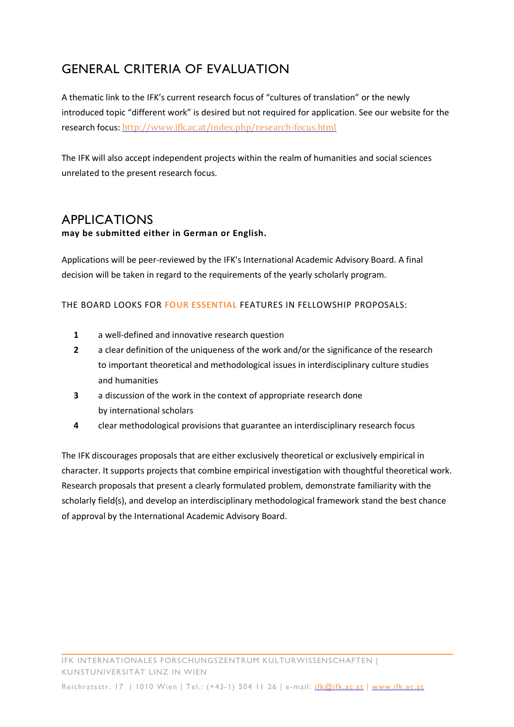# GENERAL CRITERIA OF EVALUATION

A thematic link to the IFK's current research focus of "cultures of translation" or the newly introduced topic "different work" is desired but not required for application. See our website for the research focus: http://www.ifk.ac.at/index.php/research-focus.html

The IFK will also accept independent projects within the realm of humanities and social sciences unrelated to the present research focus.

# APPLICATIONS

#### **may be submitted either in German or English.**

Applications will be peer-reviewed by the IFK's International Academic Advisory Board. A final decision will be taken in regard to the requirements of the yearly scholarly program.

#### THE BOARD LOOKS FOR **FOUR ESSENTIAL** FEATURES IN FELLOWSHIP PROPOSALS:

- **1** a well-defined and innovative research question
- **2** a clear definition of the uniqueness of the work and/or the significance of the research to important theoretical and methodological issues in interdisciplinary culture studies and humanities
- **3** a discussion of the work in the context of appropriate research done by international scholars
- **4** clear methodological provisions that guarantee an interdisciplinary research focus

The IFK discourages proposals that are either exclusively theoretical or exclusively empirical in character. It supports projects that combine empirical investigation with thoughtful theoretical work. Research proposals that present a clearly formulated problem, demonstrate familiarity with the scholarly field(s), and develop an interdisciplinary methodological framework stand the best chance of approval by the International Academic Advisory Board.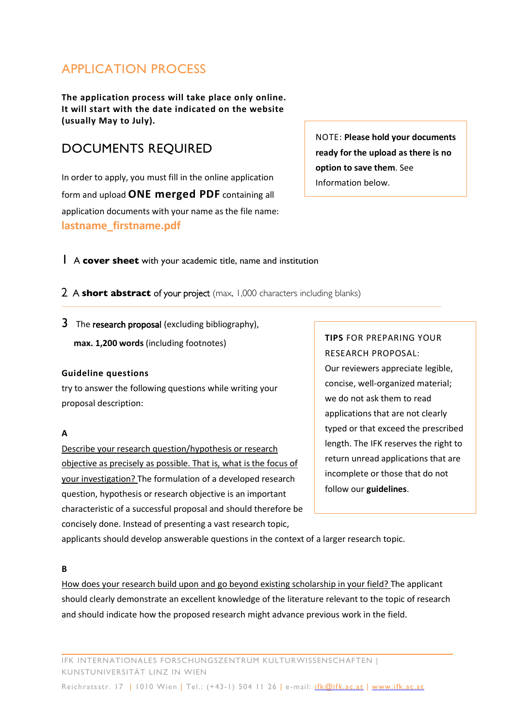### APPLICATION PROCESS

**The application process will take place only online. It will start with the date indicated on the website (usually May to July).**

### DOCUMENTS REQUIRED

In order to apply, you must fill in the online application form and upload **ONE merged PDF** containing all application documents with your name as the file name: **lastname\_firstname.pdf**

NOTE: **Please hold your documents ready for the upload as there is no option to save them**. See Information below.

1 A **cover sheet** with your academic title, name and institution

2 A **short abstract** of your project (max. 1,000 characters including blanks)

3 The research proposal (excluding bibliography),

**max. 1,200 words** (including footnotes)

#### **Guideline questions**

try to answer the following questions while writing your proposal description:

#### **A**

Describe your research question/hypothesis or research objective as precisely as possible. That is, what is the focus of your investigation? The formulation of a developed research question, hypothesis or research objective is an important characteristic of a successful proposal and should therefore be concisely done. Instead of presenting a vast research topic,

### **TIPS** FOR PREPARING YOUR RESEARCH PROPOSAL:

Our reviewers appreciate legible, concise, well-organized material; we do not ask them to read applications that are not clearly typed or that exceed the prescribed length. The IFK reserves the right to return unread applications that are incomplete or those that do not follow our **guidelines**.

applicants should develop answerable questions in the context of a larger research topic.

#### **B**

How does your research build upon and go beyond existing scholarship in your field? The applicant should clearly demonstrate an excellent knowledge of the literature relevant to the topic of research and should indicate how the proposed research might advance previous work in the field.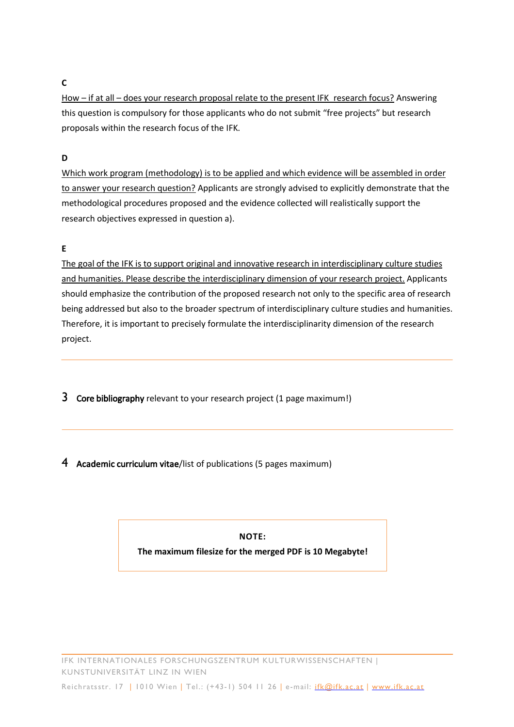#### **C**

How – if at all – does your research proposal relate to the present IFK\_research focus? Answering this question is compulsory for those applicants who do not submit "free projects" but research proposals within the research focus of the IFK.

#### **D**

Which work program (methodology) is to be applied and which evidence will be assembled in order to answer your research question? Applicants are strongly advised to explicitly demonstrate that the methodological procedures proposed and the evidence collected will realistically support the research objectives expressed in question a).

#### **E**

The goal of the IFK is to support original and innovative research in interdisciplinary culture studies and humanities. Please describe the interdisciplinary dimension of your research project. Applicants should emphasize the contribution of the proposed research not only to the specific area of research being addressed but also to the broader spectrum of interdisciplinary culture studies and humanities. Therefore, it is important to precisely formulate the interdisciplinarity dimension of the research project.

- **3** Core bibliography relevant to your research project (1 page maximum!)
- 4 Academic curriculum vitae/list of publications (5 pages maximum)

**NOTE:**

**The maximum filesize for the merged PDF is 10 Megabyte!**